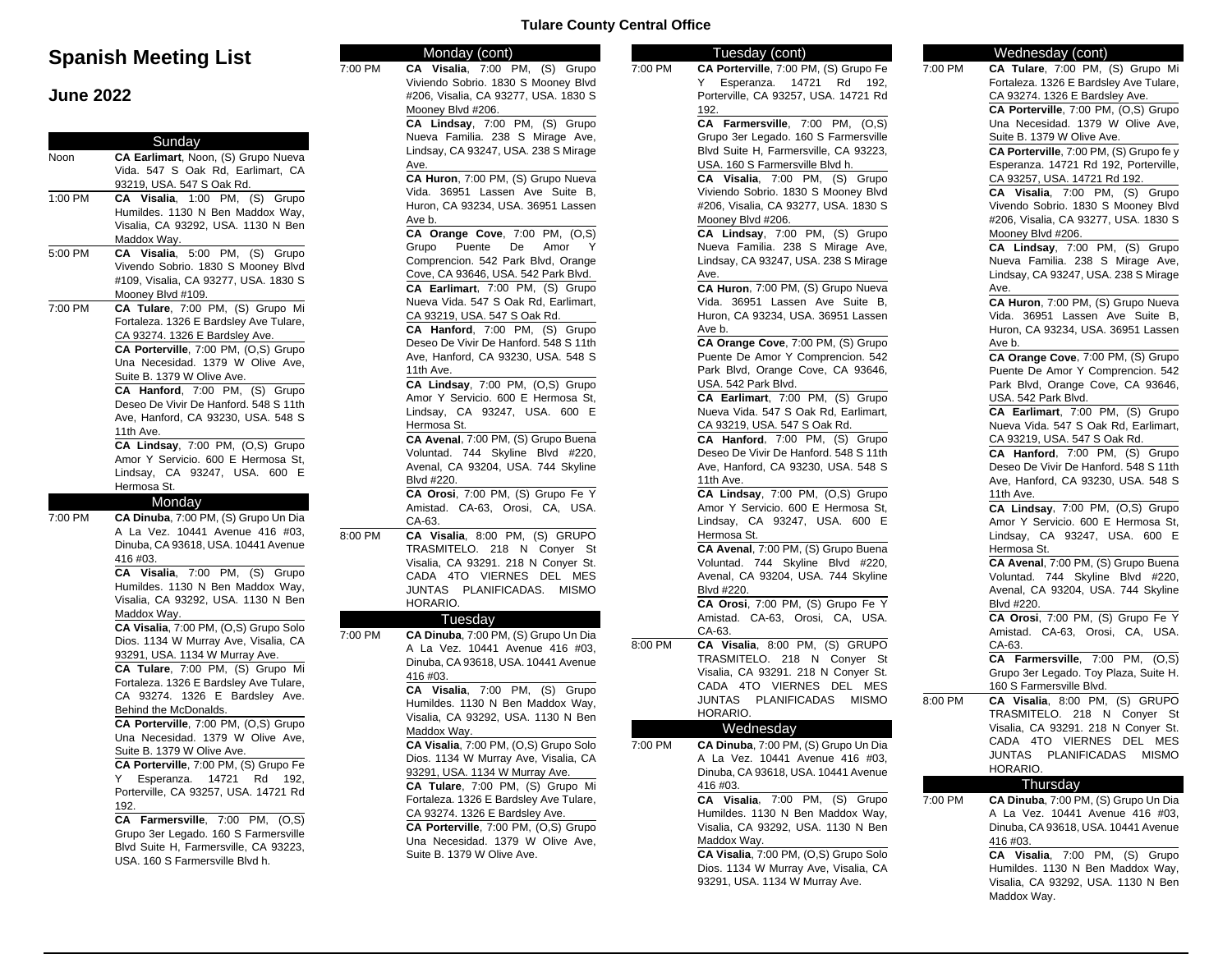# **Spanish Meeting List**

### **June 2022**

|         | Sunday                                                                                                                                                                                                                                                                                                                          |
|---------|---------------------------------------------------------------------------------------------------------------------------------------------------------------------------------------------------------------------------------------------------------------------------------------------------------------------------------|
| Noon    | CA Earlimart, Noon, (S) Grupo Nueva                                                                                                                                                                                                                                                                                             |
|         | Vida. 547 S Oak Rd, Earlimart, CA                                                                                                                                                                                                                                                                                               |
|         | 93219, USA. 547 S Oak Rd.                                                                                                                                                                                                                                                                                                       |
| 1:00 PM | CA Visalia, 1:00 PM,<br>(S)<br>Grupo                                                                                                                                                                                                                                                                                            |
|         | Humildes. 1130 N Ben Maddox Way,                                                                                                                                                                                                                                                                                                |
|         | Visalia, CA 93292, USA. 1130 N Ben                                                                                                                                                                                                                                                                                              |
|         | Maddox Way.                                                                                                                                                                                                                                                                                                                     |
| 5:00 PM | CA Visalia, 5:00 PM, (S) Grupo                                                                                                                                                                                                                                                                                                  |
|         | Vivendo Sobrio. 1830 S Mooney Blvd                                                                                                                                                                                                                                                                                              |
|         | #109, Visalia, CA 93277, USA. 1830 S                                                                                                                                                                                                                                                                                            |
|         | Mooney Blvd #109.                                                                                                                                                                                                                                                                                                               |
| 7:00 PM | CA Tulare, 7:00 PM, (S) Grupo Mi                                                                                                                                                                                                                                                                                                |
|         | Fortaleza. 1326 E Bardsley Ave Tulare,                                                                                                                                                                                                                                                                                          |
|         | CA 93274. 1326 E Bardsley Ave.                                                                                                                                                                                                                                                                                                  |
|         | CA Porterville, 7:00 PM, (O,S) Grupo                                                                                                                                                                                                                                                                                            |
|         | Una Necesidad. 1379 W Olive Ave,                                                                                                                                                                                                                                                                                                |
|         | Suite B. 1379 W Olive Ave.                                                                                                                                                                                                                                                                                                      |
|         |                                                                                                                                                                                                                                                                                                                                 |
|         | CA Hanford, 7:00 PM, (S) Grupo                                                                                                                                                                                                                                                                                                  |
|         | Deseo De Vivir De Hanford. 548 S 11th                                                                                                                                                                                                                                                                                           |
|         | Ave, Hanford, CA 93230, USA. 548 S                                                                                                                                                                                                                                                                                              |
|         | 11th Ave.                                                                                                                                                                                                                                                                                                                       |
|         | CA Lindsay, 7:00 PM, (O,S) Grupo                                                                                                                                                                                                                                                                                                |
|         | Amor Y Servicio. 600 E Hermosa St,                                                                                                                                                                                                                                                                                              |
|         | Lindsay, CA 93247, USA. 600 E                                                                                                                                                                                                                                                                                                   |
|         | Hermosa St.                                                                                                                                                                                                                                                                                                                     |
|         | Monday                                                                                                                                                                                                                                                                                                                          |
|         |                                                                                                                                                                                                                                                                                                                                 |
| 7:00 PM |                                                                                                                                                                                                                                                                                                                                 |
|         |                                                                                                                                                                                                                                                                                                                                 |
|         |                                                                                                                                                                                                                                                                                                                                 |
|         | 416 #03.                                                                                                                                                                                                                                                                                                                        |
|         | CA Visalia, 7:00 PM,<br>(S)                                                                                                                                                                                                                                                                                                     |
|         |                                                                                                                                                                                                                                                                                                                                 |
|         |                                                                                                                                                                                                                                                                                                                                 |
|         |                                                                                                                                                                                                                                                                                                                                 |
|         | Maddox Way.                                                                                                                                                                                                                                                                                                                     |
|         |                                                                                                                                                                                                                                                                                                                                 |
|         |                                                                                                                                                                                                                                                                                                                                 |
|         | 93291, USA. 1134 W Murray Ave.                                                                                                                                                                                                                                                                                                  |
|         |                                                                                                                                                                                                                                                                                                                                 |
|         |                                                                                                                                                                                                                                                                                                                                 |
|         |                                                                                                                                                                                                                                                                                                                                 |
|         | Behind the McDonalds.                                                                                                                                                                                                                                                                                                           |
|         |                                                                                                                                                                                                                                                                                                                                 |
|         | A La Vez. 10441 Avenue 416 #03,<br>Dinuba, CA 93618, USA. 10441 Avenue<br>Humildes. 1130 N Ben Maddox Way,<br>Visalia, CA 93292, USA. 1130 N Ben<br>Fortaleza. 1326 E Bardsley Ave Tulare,<br>CA 93274. 1326 E Bardsley Ave.                                                                                                    |
|         | Suite B. 1379 W Olive Ave.                                                                                                                                                                                                                                                                                                      |
|         |                                                                                                                                                                                                                                                                                                                                 |
|         | Y<br>14721<br>Rd<br>Esperanza.                                                                                                                                                                                                                                                                                                  |
|         |                                                                                                                                                                                                                                                                                                                                 |
|         | CA Porterville, 7:00 PM, (S) Grupo Fe<br>192,<br>192.                                                                                                                                                                                                                                                                           |
|         | CA Dinuba, 7:00 PM, (S) Grupo Un Dia<br>Grupo<br>CA Visalia, 7:00 PM, (O,S) Grupo Solo<br>Dios. 1134 W Murray Ave, Visalia, CA<br>CA Tulare, 7:00 PM, (S) Grupo Mi<br>CA Porterville, 7:00 PM, (O,S) Grupo<br>Una Necesidad. 1379 W Olive Ave,<br>Porterville, CA 93257, USA. 14721 Rd<br>PM,<br>CA Farmersville, 7:00<br>(O,S) |
|         | Grupo 3er Legado. 160 S Farmersville                                                                                                                                                                                                                                                                                            |
|         | Blvd Suite H, Farmersville, CA 93223,                                                                                                                                                                                                                                                                                           |
|         | USA. 160 S Farmersville Blvd h.                                                                                                                                                                                                                                                                                                 |

### **Tulare County Central Office**

Monday (cont)

7:00 PM **CA Visalia**, 7:00 PM, (S) Grupo

 $8:00$  PM

7:00 PM

| iuuy<br>(<br>CA Visalia, 7:00 PM, (S) Grupo                             | 7:00 PM |
|-------------------------------------------------------------------------|---------|
| Viviendo Sobrio. 1830 S Mooney Blvd                                     |         |
| #206, Visalia, CA 93277, USA. 1830 S                                    |         |
| Mooney Blvd #206.                                                       |         |
| CA Lindsay, 7:00 PM, (S) Grupo                                          |         |
| Nueva Familia. 238 S Mirage Ave,                                        |         |
| Lindsay, CA 93247, USA. 238 S Mirage                                    |         |
| Ave.                                                                    |         |
| CA Huron, 7:00 PM, (S) Grupo Nueva                                      |         |
| Vida. 36951 Lassen Ave Suite B,                                         |         |
| Huron, CA 93234, USA. 36951 Lassen                                      |         |
| Ave b.                                                                  |         |
| CA Orange Cove, $7:00$ PM, $(O,S)$                                      |         |
| Grupo<br>Puente<br>De<br>Amor<br>Y                                      |         |
| Comprencion. 542 Park Blvd, Orange                                      |         |
| Cove, CA 93646, USA. 542 Park Blvd.                                     |         |
| CA Earlimart, 7:00 PM, (S) Grupo                                        |         |
| Nueva Vida. 547 S Oak Rd, Earlimart,                                    |         |
| CA 93219, USA. 547 S Oak Rd.                                            |         |
| CA Hanford, 7:00 PM, (S) Grupo<br>Deseo De Vivir De Hanford. 548 S 11th |         |
| Ave, Hanford, CA 93230, USA. 548 S                                      |         |
| 11th Ave.                                                               |         |
| CA Lindsay, 7:00 PM, (O,S) Grupo                                        |         |
| Amor Y Servicio. 600 E Hermosa St,                                      |         |
| Lindsay, CA 93247, USA. 600 E                                           |         |
| Hermosa St.                                                             |         |
| CA Avenal, 7:00 PM, (S) Grupo Buena                                     |         |
| Voluntad. 744 Skyline Blvd #220,                                        |         |
| Avenal, CA 93204, USA. 744 Skyline                                      |         |
| Blvd #220.                                                              |         |
| CA Orosi, 7:00 PM, (S) Grupo Fe Y                                       |         |
| Amistad. CA-63, Orosi, CA, USA.                                         |         |
| CA-63.                                                                  |         |
| CA Visalia, 8:00 PM, (S) GRUPO                                          |         |
| 218 N Conyer St<br>TRASMITELO.                                          |         |
| Visalia, CA 93291. 218 N Conyer St.                                     |         |
| CADA 4TO VIERNES<br>DEL<br>MES                                          |         |
| PLANIFICADAS.<br>JUNTAS<br><b>MISMO</b>                                 |         |
| HORARIO.                                                                |         |
| Tuesday                                                                 |         |
| CA Dinuba, 7:00 PM, (S) Grupo Un Dia                                    | 8:00 PM |
| A La Vez. 10441 Avenue 416 #03,<br>Dinuba, CA 93618, USA. 10441 Avenue  |         |
| 416 #03.                                                                |         |
| CA Visalia, 7:00 PM, (S) Grupo                                          |         |
| Humildes. 1130 N Ben Maddox Way,                                        |         |
| Visalia, CA 93292, USA. 1130 N Ben                                      |         |
| Maddox Way.                                                             |         |
| CA Visalia, 7:00 PM, (O,S) Grupo Solo                                   | 7:00 PM |
| Dios. 1134 W Murray Ave, Visalia, CA                                    |         |
| 93291, USA. 1134 W Murray Ave.                                          |         |
| CA Tulare, 7:00 PM, (S) Grupo Mi                                        |         |
| Fortaleza. 1326 E Bardsley Ave Tulare,                                  |         |
| CA 93274. 1326 E Bardsley Ave.                                          |         |
| CA Porterville, 7:00 PM, (O,S) Grupo                                    |         |
| Una Necesidad. 1379 W Olive Ave,                                        |         |
| Suite B. 1379 W Olive Ave.                                              |         |
|                                                                         |         |
|                                                                         |         |

#### Tuesday (cont) 7:00 PM **CA Porterville**, 7:00 PM, (S) Grupo Fe Y Esperanza. 14721 Rd 192, Porterville, CA 93257, USA. 14721 Rd  $102.$ **CA Farmersville**, 7:00 PM, (O,S) Grupo 3er Legado. 160 S Farmersville Blvd Suite H, Farmersville, CA 93223, USA. 160 S Farmersville Blvd h. **CA Visalia**, 7:00 PM, (S) Grupo Viviendo Sobrio. 1830 S Mooney Blvd #206, Visalia, CA 93277, USA. 1830 S Mooney Blvd #206. **CA Lindsay**, 7:00 PM, (S) Grupo Nueva Familia. 238 S Mirage Ave, Lindsay, CA 93247, USA. 238 S Mirage Ave. **CA Huron**, 7:00 PM, (S) Grupo Nueva Vida. 36951 Lassen Ave Suite B, Huron, CA 93234, USA. 36951 Lassen Ave b. **CA Orange Cove**, 7:00 PM, (S) Grupo Puente De Amor Y Comprencion. 542 Park Blvd, Orange Cove, CA 93646, USA. 542 Park Blvd. **CA Earlimart**, 7:00 PM, (S) Grupo Nueva Vida. 547 S Oak Rd, Earlimart, CA 93219, USA. 547 S Oak Rd. **CA Hanford**, 7:00 PM, (S) Grupo Deseo De Vivir De Hanford. 548 S 11th Ave, Hanford, CA 93230, USA. 548 S 11th Ave. **CA Lindsay**, 7:00 PM, (O,S) Grupo Amor Y Servicio. 600 E Hermosa St, Lindsay, CA 93247, USA. 600 E Hermosa St. **CA Avenal**, 7:00 PM, (S) Grupo Buena Voluntad. 744 Skyline Blvd #220, Avenal, CA 93204, USA. 744 Skyline Blvd #220. **CA Orosi**, 7:00 PM, (S) Grupo Fe Y Amistad. CA-63, Orosi, CA, USA. CA-63. 8:00 PM **CA Visalia**, 8:00 PM, (S) GRUPO TRASMITELO. 218 N Conyer St Visalia, CA 93291. 218 N Conyer St. CADA 4TO VIERNES DEL MES JUNTAS PLANIFICADAS MISMO HORARIO. **Wednesday** 7:00 PM **CA Dinuba**, 7:00 PM, (S) Grupo Un Dia A La Vez. 10441 Avenue 416 #03, Dinuba, CA 93618, USA. 10441 Avenue 416 #03. **CA Visalia**, 7:00 PM, (S) Grupo Humildes. 1130 N Ben Maddox Way, Visalia, CA 93292, USA. 1130 N Ben Maddox Way. **CA Visalia**, 7:00 PM, (O,S) Grupo Solo Dios. 1134 W Murray Ave, Visalia, CA 93291, USA. 1134 W Murray Ave.

#### Wednesday (cont) 7:00 PM **CA Tulare**, 7:00 PM, (S) Grupo Mi Fortaleza. 1326 E Bardsley Ave Tulare, CA 93274. 1326 E Bardsley Ave. **CA Porterville**, 7:00 PM, (O,S) Grupo Una Necesidad. 1379 W Olive Ave, Suite B. 1379 W Olive Ave. **CA Porterville**, 7:00 PM, (S) Grupo fe y Esperanza. 14721 Rd 192, Porterville, CA 93257, USA. 14721 Rd 192. **CA Visalia**, 7:00 PM, (S) Grupo Vivendo Sobrio. 1830 S Mooney Blvd #206, Visalia, CA 93277, USA. 1830 S Mooney Blvd #206. **CA Lindsay**, 7:00 PM, (S) Grupo Nueva Familia. 238 S Mirage Ave, Lindsay, CA 93247, USA. 238 S Mirage Ave. **CA Huron**, 7:00 PM, (S) Grupo Nueva Vida. 36951 Lassen Ave Suite B, Huron, CA 93234, USA. 36951 Lassen Ave b. **CA Orange Cove**, 7:00 PM, (S) Grupo Puente De Amor Y Comprencion. 542 Park Blvd, Orange Cove, CA 93646, USA. 542 Park Blvd. **CA Earlimart**, 7:00 PM, (S) Grupo Nueva Vida. 547 S Oak Rd, Earlimart, CA 93219, USA. 547 S Oak Rd. **CA Hanford**, 7:00 PM, (S) Grupo Deseo De Vivir De Hanford. 548 S 11th Ave, Hanford, CA 93230, USA. 548 S 11th Ave. **CA Lindsay**, 7:00 PM, (O,S) Grupo Amor Y Servicio. 600 E Hermosa St, Lindsay, CA 93247, USA. 600 E Hermosa St. **CA Avenal**, 7:00 PM, (S) Grupo Buena Voluntad. 744 Skyline Blvd #220, Avenal, CA 93204, USA. 744 Skyline Blvd #220. **CA Orosi**, 7:00 PM, (S) Grupo Fe Y Amistad. CA-63, Orosi, CA, USA. CA-63. **CA Farmersville**, 7:00 PM, (O,S) Grupo 3er Legado. Toy Plaza, Suite H. 160 S Farmersville Blvd. 8:00 PM **CA Visalia**, 8:00 PM, (S) GRUPO TRASMITELO. 218 N Conyer St Visalia, CA 93291. 218 N Conyer St. CADA 4TO VIERNES DEL MES JUNTAS PLANIFICADAS MISMO HORARIO. Thursday 7:00 PM **CA Dinuba**, 7:00 PM, (S) Grupo Un Dia A La Vez. 10441 Avenue 416 #03, Dinuba, CA 93618, USA. 10441 Avenue 416 #03. **CA Visalia**, 7:00 PM, (S) Grupo Humildes. 1130 N Ben Maddox Way, Visalia, CA 93292, USA. 1130 N Ben

Maddox Way.